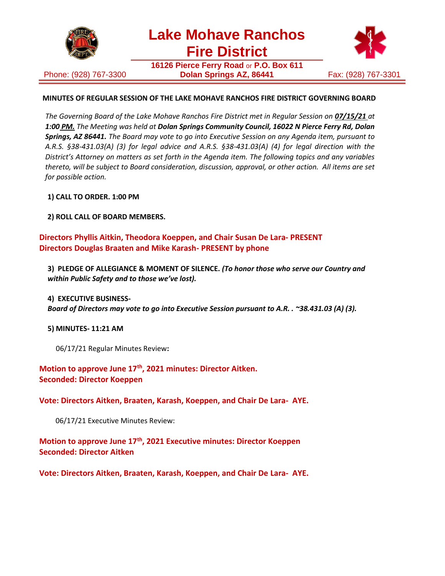

**Lake Mohave Ranchos Fire District**

Phone: (928) 767-3300

**16126 Pierce Ferry Road** or **P.O. Box 611 Dolan Springs AZ, 86441** Fax: (928) 767-3301



## **MINUTES OF REGULAR SESSION OF THE LAKE MOHAVE RANCHOS FIRE DISTRICT GOVERNING BOARD**

*The Governing Board of the Lake Mohave Ranchos Fire District met in Regular Session on 07/15/21 at 1:00 PM. The Meeting was held at Dolan Springs Community Council, 16022 N Pierce Ferry Rd, Dolan Springs, AZ 86441. The Board may vote to go into Executive Session on any Agenda item, pursuant to A.R.S. §38-431.03(A) (3) for legal advice and A.R.S. §38-431.03(A) (4) for legal direction with the District's Attorney on matters as set forth in the Agenda item. The following topics and any variables thereto, will be subject to Board consideration, discussion, approval, or other action. All items are set for possible action.*

**1) CALL TO ORDER. 1:00 PM**

**2) ROLL CALL OF BOARD MEMBERS.**

# **Directors Phyllis Aitkin, Theodora Koeppen, and Chair Susan De Lara- PRESENT Directors Douglas Braaten and Mike Karash- PRESENT by phone**

**3) PLEDGE OF ALLEGIANCE & MOMENT OF SILENCE.** *(To honor those who serve our Country and within Public Safety and to those we've lost).*

**4) EXECUTIVE BUSINESS-**

*Board of Directors may vote to go into Executive Session pursuant to A.R. . ~38.431.03 (A) (3).*

**5) MINUTES- 11:21 AM**

06/17/21 Regular Minutes Review**:**

**Motion to approve June 17th, 2021 minutes: Director Aitken. Seconded: Director Koeppen**

**Vote: Directors Aitken, Braaten, Karash, Koeppen, and Chair De Lara- AYE.**

06/17/21 Executive Minutes Review:

**Motion to approve June 17th, 2021 Executive minutes: Director Koeppen Seconded: Director Aitken**

**Vote: Directors Aitken, Braaten, Karash, Koeppen, and Chair De Lara- AYE.**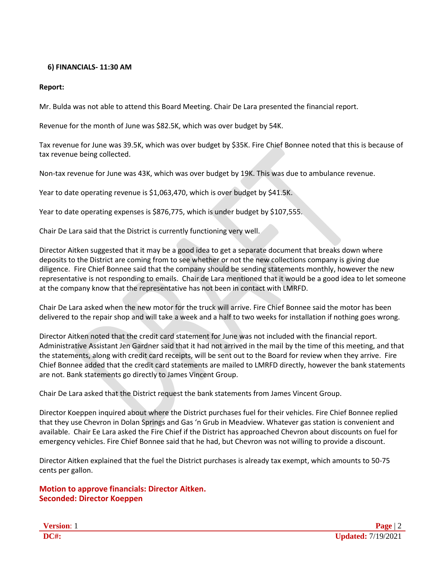### **6) FINANCIALS- 11:30 AM**

### **Report:**

Mr. Bulda was not able to attend this Board Meeting. Chair De Lara presented the financial report.

Revenue for the month of June was \$82.5K, which was over budget by 54K.

Tax revenue for June was 39.5K, which was over budget by \$35K. Fire Chief Bonnee noted that this is because of tax revenue being collected.

Non-tax revenue for June was 43K, which was over budget by 19K. This was due to ambulance revenue.

Year to date operating revenue is \$1,063,470, which is over budget by \$41.5K.

Year to date operating expenses is \$876,775, which is under budget by \$107,555.

Chair De Lara said that the District is currently functioning very well.

Director Aitken suggested that it may be a good idea to get a separate document that breaks down where deposits to the District are coming from to see whether or not the new collections company is giving due diligence. Fire Chief Bonnee said that the company should be sending statements monthly, however the new representative is not responding to emails. Chair de Lara mentioned that it would be a good idea to let someone at the company know that the representative has not been in contact with LMRFD.

Chair De Lara asked when the new motor for the truck will arrive. Fire Chief Bonnee said the motor has been delivered to the repair shop and will take a week and a half to two weeks for installation if nothing goes wrong.

Director Aitken noted that the credit card statement for June was not included with the financial report. Administrative Assistant Jen Gardner said that it had not arrived in the mail by the time of this meeting, and that the statements, along with credit card receipts, will be sent out to the Board for review when they arrive. Fire Chief Bonnee added that the credit card statements are mailed to LMRFD directly, however the bank statements are not. Bank statements go directly to James Vincent Group.

Chair De Lara asked that the District request the bank statements from James Vincent Group.

Director Koeppen inquired about where the District purchases fuel for their vehicles. Fire Chief Bonnee replied that they use Chevron in Dolan Springs and Gas 'n Grub in Meadview. Whatever gas station is convenient and available. Chair Ee Lara asked the Fire Chief if the District has approached Chevron about discounts on fuel for emergency vehicles. Fire Chief Bonnee said that he had, but Chevron was not willing to provide a discount.

Director Aitken explained that the fuel the District purchases is already tax exempt, which amounts to 50-75 cents per gallon.

**Motion to approve financials: Director Aitken. Seconded: Director Koeppen**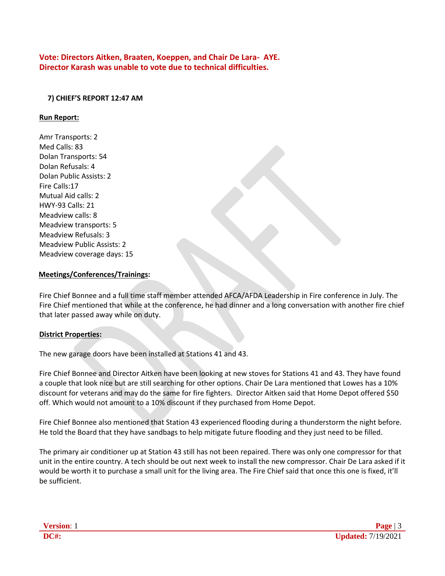**Vote: Directors Aitken, Braaten, Koeppen, and Chair De Lara- AYE. Director Karash was unable to vote due to technical difficulties.**

## **7) CHIEF'S REPORT 12:47 AM**

#### **Run Report:**

Amr Transports: 2 Med Calls: 83 Dolan Transports: 54 Dolan Refusals: 4 Dolan Public Assists: 2 Fire Calls:17 Mutual Aid calls: 2 HWY-93 Calls: 21 Meadview calls: 8 Meadview transports: 5 Meadview Refusals: 3 Meadview Public Assists: 2 Meadview coverage days: 15

### **Meetings/Conferences/Trainings:**

Fire Chief Bonnee and a full time staff member attended AFCA/AFDA Leadership in Fire conference in July. The Fire Chief mentioned that while at the conference, he had dinner and a long conversation with another fire chief that later passed away while on duty.

### **District Properties:**

The new garage doors have been installed at Stations 41 and 43.

Fire Chief Bonnee and Director Aitken have been looking at new stoves for Stations 41 and 43. They have found a couple that look nice but are still searching for other options. Chair De Lara mentioned that Lowes has a 10% discount for veterans and may do the same for fire fighters. Director Aitken said that Home Depot offered \$50 off. Which would not amount to a 10% discount if they purchased from Home Depot.

Fire Chief Bonnee also mentioned that Station 43 experienced flooding during a thunderstorm the night before. He told the Board that they have sandbags to help mitigate future flooding and they just need to be filled.

The primary air conditioner up at Station 43 still has not been repaired. There was only one compressor for that unit in the entire country. A tech should be out next week to install the new compressor. Chair De Lara asked if it would be worth it to purchase a small unit for the living area. The Fire Chief said that once this one is fixed, it'll be sufficient.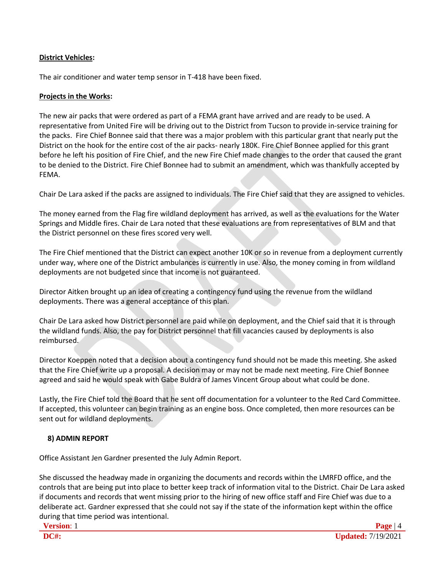# **District Vehicles:**

The air conditioner and water temp sensor in T-418 have been fixed.

## **Projects in the Works:**

The new air packs that were ordered as part of a FEMA grant have arrived and are ready to be used. A representative from United Fire will be driving out to the District from Tucson to provide in-service training for the packs. Fire Chief Bonnee said that there was a major problem with this particular grant that nearly put the District on the hook for the entire cost of the air packs- nearly 180K. Fire Chief Bonnee applied for this grant before he left his position of Fire Chief, and the new Fire Chief made changes to the order that caused the grant to be denied to the District. Fire Chief Bonnee had to submit an amendment, which was thankfully accepted by FEMA.

Chair De Lara asked if the packs are assigned to individuals. The Fire Chief said that they are assigned to vehicles.

The money earned from the Flag fire wildland deployment has arrived, as well as the evaluations for the Water Springs and Middle fires. Chair de Lara noted that these evaluations are from representatives of BLM and that the District personnel on these fires scored very well.

The Fire Chief mentioned that the District can expect another 10K or so in revenue from a deployment currently under way, where one of the District ambulances is currently in use. Also, the money coming in from wildland deployments are not budgeted since that income is not guaranteed.

Director Aitken brought up an idea of creating a contingency fund using the revenue from the wildland deployments. There was a general acceptance of this plan.

Chair De Lara asked how District personnel are paid while on deployment, and the Chief said that it is through the wildland funds. Also, the pay for District personnel that fill vacancies caused by deployments is also reimbursed.

Director Koeppen noted that a decision about a contingency fund should not be made this meeting. She asked that the Fire Chief write up a proposal. A decision may or may not be made next meeting. Fire Chief Bonnee agreed and said he would speak with Gabe Buldra of James Vincent Group about what could be done.

Lastly, the Fire Chief told the Board that he sent off documentation for a volunteer to the Red Card Committee. If accepted, this volunteer can begin training as an engine boss. Once completed, then more resources can be sent out for wildland deployments.

# **8) ADMIN REPORT**

Office Assistant Jen Gardner presented the July Admin Report.

She discussed the headway made in organizing the documents and records within the LMRFD office, and the controls that are being put into place to better keep track of information vital to the District. Chair De Lara asked if documents and records that went missing prior to the hiring of new office staff and Fire Chief was due to a deliberate act. Gardner expressed that she could not say if the state of the information kept within the office during that time period was intentional.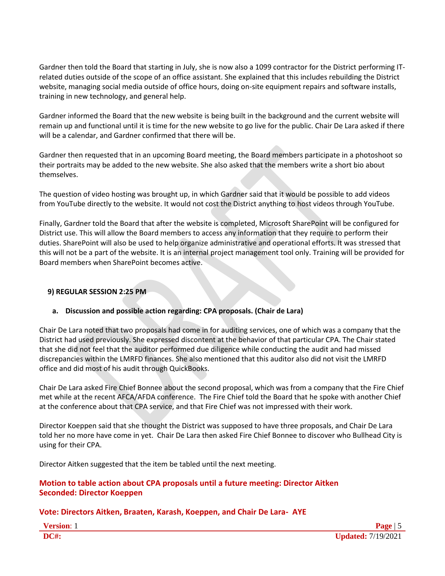Gardner then told the Board that starting in July, she is now also a 1099 contractor for the District performing ITrelated duties outside of the scope of an office assistant. She explained that this includes rebuilding the District website, managing social media outside of office hours, doing on-site equipment repairs and software installs, training in new technology, and general help.

Gardner informed the Board that the new website is being built in the background and the current website will remain up and functional until it is time for the new website to go live for the public. Chair De Lara asked if there will be a calendar, and Gardner confirmed that there will be.

Gardner then requested that in an upcoming Board meeting, the Board members participate in a photoshoot so their portraits may be added to the new website. She also asked that the members write a short bio about themselves.

The question of video hosting was brought up, in which Gardner said that it would be possible to add videos from YouTube directly to the website. It would not cost the District anything to host videos through YouTube.

Finally, Gardner told the Board that after the website is completed, Microsoft SharePoint will be configured for District use. This will allow the Board members to access any information that they require to perform their duties. SharePoint will also be used to help organize administrative and operational efforts. It was stressed that this will not be a part of the website. It is an internal project management tool only. Training will be provided for Board members when SharePoint becomes active.

# **9) REGULAR SESSION 2:25 PM**

# **a. Discussion and possible action regarding: CPA proposals. (Chair de Lara)**

Chair De Lara noted that two proposals had come in for auditing services, one of which was a company that the District had used previously. She expressed discontent at the behavior of that particular CPA. The Chair stated that she did not feel that the auditor performed due diligence while conducting the audit and had missed discrepancies within the LMRFD finances. She also mentioned that this auditor also did not visit the LMRFD office and did most of his audit through QuickBooks.

Chair De Lara asked Fire Chief Bonnee about the second proposal, which was from a company that the Fire Chief met while at the recent AFCA/AFDA conference. The Fire Chief told the Board that he spoke with another Chief at the conference about that CPA service, and that Fire Chief was not impressed with their work.

Director Koeppen said that she thought the District was supposed to have three proposals, and Chair De Lara told her no more have come in yet. Chair De Lara then asked Fire Chief Bonnee to discover who Bullhead City is using for their CPA.

Director Aitken suggested that the item be tabled until the next meeting.

## **Motion to table action about CPA proposals until a future meeting: Director Aitken Seconded: Director Koeppen**

# **Vote: Directors Aitken, Braaten, Karash, Koeppen, and Chair De Lara- AYE**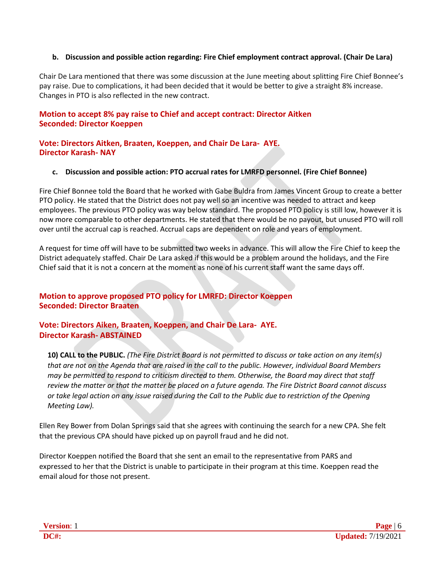### **b. Discussion and possible action regarding: Fire Chief employment contract approval. (Chair De Lara)**

Chair De Lara mentioned that there was some discussion at the June meeting about splitting Fire Chief Bonnee's pay raise. Due to complications, it had been decided that it would be better to give a straight 8% increase. Changes in PTO is also reflected in the new contract.

## **Motion to accept 8% pay raise to Chief and accept contract: Director Aitken Seconded: Director Koeppen**

### **Vote: Directors Aitken, Braaten, Koeppen, and Chair De Lara- AYE. Director Karash- NAY**

### **c. Discussion and possible action: PTO accrual rates for LMRFD personnel. (Fire Chief Bonnee)**

Fire Chief Bonnee told the Board that he worked with Gabe Buldra from James Vincent Group to create a better PTO policy. He stated that the District does not pay well so an incentive was needed to attract and keep employees. The previous PTO policy was way below standard. The proposed PTO policy is still low, however it is now more comparable to other departments. He stated that there would be no payout, but unused PTO will roll over until the accrual cap is reached. Accrual caps are dependent on role and years of employment.

A request for time off will have to be submitted two weeks in advance. This will allow the Fire Chief to keep the District adequately staffed. Chair De Lara asked if this would be a problem around the holidays, and the Fire Chief said that it is not a concern at the moment as none of his current staff want the same days off.

# **Motion to approve proposed PTO policy for LMRFD: Director Koeppen Seconded: Director Braaten**

## **Vote: Directors Aiken, Braaten, Koeppen, and Chair De Lara- AYE. Director Karash- ABSTAINED**

**10) CALL to the PUBLIC.** *(The Fire District Board is not permitted to discuss or take action on any item(s) that are not on the Agenda that are raised in the call to the public. However, individual Board Members may be permitted to respond to criticism directed to them. Otherwise, the Board may direct that staff review the matter or that the matter be placed on a future agenda. The Fire District Board cannot discuss or take legal action on any issue raised during the Call to the Public due to restriction of the Opening Meeting Law).*

Ellen Rey Bower from Dolan Springs said that she agrees with continuing the search for a new CPA. She felt that the previous CPA should have picked up on payroll fraud and he did not.

Director Koeppen notified the Board that she sent an email to the representative from PARS and expressed to her that the District is unable to participate in their program at this time. Koeppen read the email aloud for those not present.